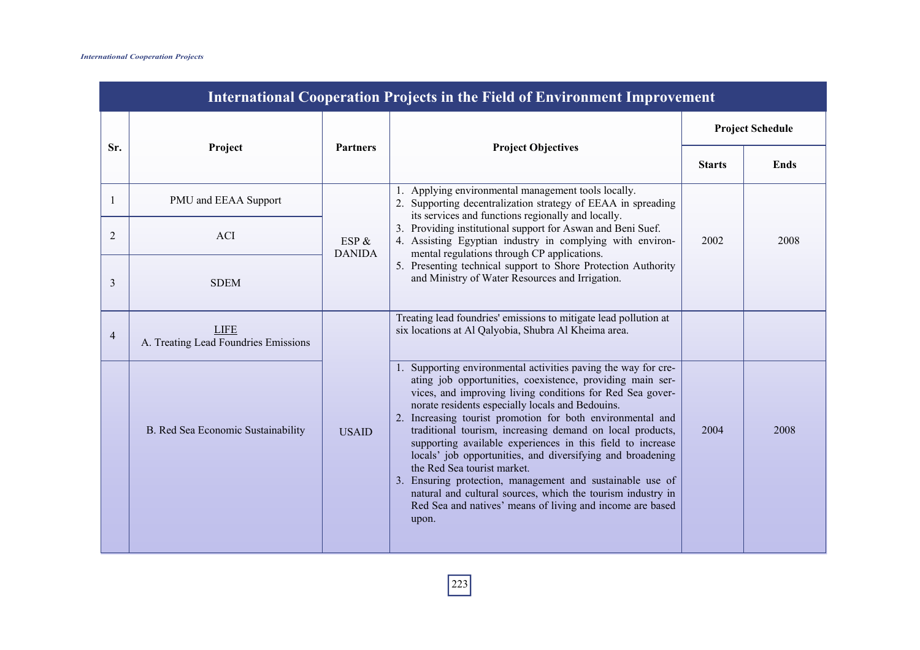| <b>International Cooperation Projects in the Field of Environment Improvement</b><br><b>Project Schedule</b> |                                                     |                        |                                                                                                                                                                                                                                                                                                                                                                                                                                                                                                                                                                                                                                                                                                                                      |               |             |
|--------------------------------------------------------------------------------------------------------------|-----------------------------------------------------|------------------------|--------------------------------------------------------------------------------------------------------------------------------------------------------------------------------------------------------------------------------------------------------------------------------------------------------------------------------------------------------------------------------------------------------------------------------------------------------------------------------------------------------------------------------------------------------------------------------------------------------------------------------------------------------------------------------------------------------------------------------------|---------------|-------------|
| Sr.                                                                                                          | Project                                             | <b>Partners</b>        | <b>Project Objectives</b>                                                                                                                                                                                                                                                                                                                                                                                                                                                                                                                                                                                                                                                                                                            | <b>Starts</b> | <b>Ends</b> |
|                                                                                                              | PMU and EEAA Support                                |                        | 1. Applying environmental management tools locally.<br>2. Supporting decentralization strategy of EEAA in spreading<br>its services and functions regionally and locally.                                                                                                                                                                                                                                                                                                                                                                                                                                                                                                                                                            |               |             |
| 2                                                                                                            | <b>ACI</b>                                          | ESP &<br><b>DANIDA</b> | 3. Providing institutional support for Aswan and Beni Suef.<br>4. Assisting Egyptian industry in complying with environ-<br>mental regulations through CP applications.                                                                                                                                                                                                                                                                                                                                                                                                                                                                                                                                                              | 2002          | 2008        |
| 3                                                                                                            | <b>SDEM</b>                                         |                        | 5. Presenting technical support to Shore Protection Authority<br>and Ministry of Water Resources and Irrigation.                                                                                                                                                                                                                                                                                                                                                                                                                                                                                                                                                                                                                     |               |             |
| $\overline{4}$                                                                                               | <b>LIFE</b><br>A. Treating Lead Foundries Emissions |                        | Treating lead foundries' emissions to mitigate lead pollution at<br>six locations at Al Qalyobia, Shubra Al Kheima area.                                                                                                                                                                                                                                                                                                                                                                                                                                                                                                                                                                                                             |               |             |
|                                                                                                              | B. Red Sea Economic Sustainability                  | <b>USAID</b>           | 1. Supporting environmental activities paving the way for cre-<br>ating job opportunities, coexistence, providing main ser-<br>vices, and improving living conditions for Red Sea gover-<br>norate residents especially locals and Bedouins.<br>2. Increasing tourist promotion for both environmental and<br>traditional tourism, increasing demand on local products,<br>supporting available experiences in this field to increase<br>locals' job opportunities, and diversifying and broadening<br>the Red Sea tourist market.<br>3. Ensuring protection, management and sustainable use of<br>natural and cultural sources, which the tourism industry in<br>Red Sea and natives' means of living and income are based<br>upon. | 2004          | 2008        |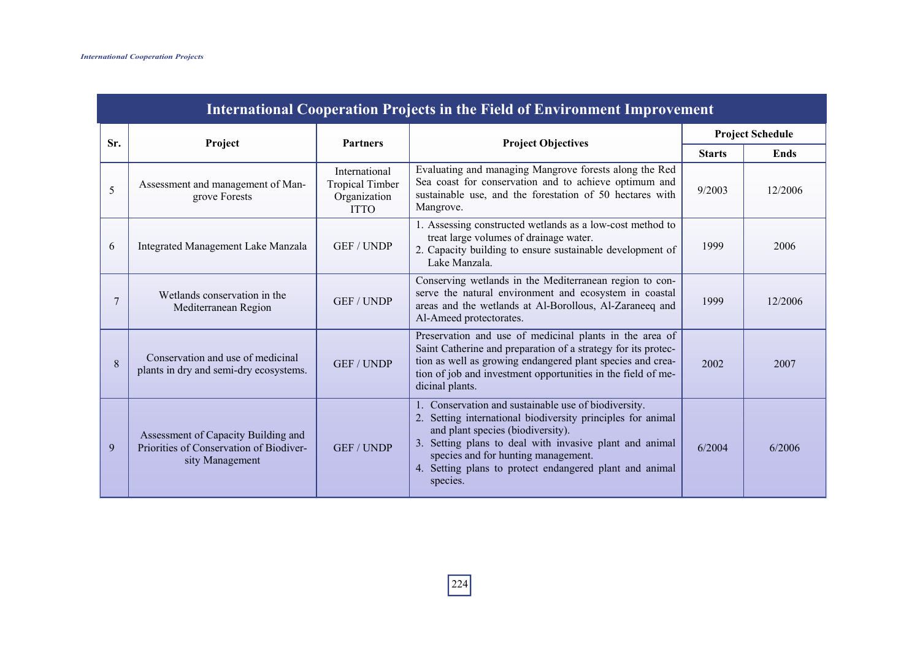|     | <b>International Cooperation Projects in the Field of Environment Improvement</b>                 |                                                                        |                                                                                                                                                                                                                                                                                                                                   |               |                         |  |  |  |
|-----|---------------------------------------------------------------------------------------------------|------------------------------------------------------------------------|-----------------------------------------------------------------------------------------------------------------------------------------------------------------------------------------------------------------------------------------------------------------------------------------------------------------------------------|---------------|-------------------------|--|--|--|
| Sr. | Project                                                                                           | <b>Partners</b>                                                        | <b>Project Objectives</b>                                                                                                                                                                                                                                                                                                         |               | <b>Project Schedule</b> |  |  |  |
|     |                                                                                                   |                                                                        |                                                                                                                                                                                                                                                                                                                                   | <b>Starts</b> | <b>Ends</b>             |  |  |  |
| 5   | Assessment and management of Man-<br>grove Forests                                                | International<br><b>Tropical Timber</b><br>Organization<br><b>ITTO</b> | Evaluating and managing Mangrove forests along the Red<br>Sea coast for conservation and to achieve optimum and<br>sustainable use, and the forestation of 50 hectares with<br>Mangrove.                                                                                                                                          | 9/2003        | 12/2006                 |  |  |  |
| 6   | Integrated Management Lake Manzala                                                                | <b>GEF / UNDP</b>                                                      | 1. Assessing constructed wetlands as a low-cost method to<br>treat large volumes of drainage water.<br>2. Capacity building to ensure sustainable development of<br>Lake Manzala.                                                                                                                                                 | 1999          | 2006                    |  |  |  |
| 7   | Wetlands conservation in the<br>Mediterranean Region                                              | <b>GEF / UNDP</b>                                                      | Conserving wetlands in the Mediterranean region to con-<br>serve the natural environment and ecosystem in coastal<br>areas and the wetlands at Al-Borollous, Al-Zaraneeq and<br>Al-Ameed protectorates.                                                                                                                           | 1999          | 12/2006                 |  |  |  |
| 8   | Conservation and use of medicinal<br>plants in dry and semi-dry ecosystems.                       | <b>GEF / UNDP</b>                                                      | Preservation and use of medicinal plants in the area of<br>Saint Catherine and preparation of a strategy for its protec-<br>tion as well as growing endangered plant species and crea-<br>tion of job and investment opportunities in the field of me-<br>dicinal plants.                                                         | 2002          | 2007                    |  |  |  |
| 9   | Assessment of Capacity Building and<br>Priorities of Conservation of Biodiver-<br>sity Management | <b>GEF / UNDP</b>                                                      | 1. Conservation and sustainable use of biodiversity.<br>2. Setting international biodiversity principles for animal<br>and plant species (biodiversity).<br>3. Setting plans to deal with invasive plant and animal<br>species and for hunting management.<br>4. Setting plans to protect endangered plant and animal<br>species. | 6/2004        | 6/2006                  |  |  |  |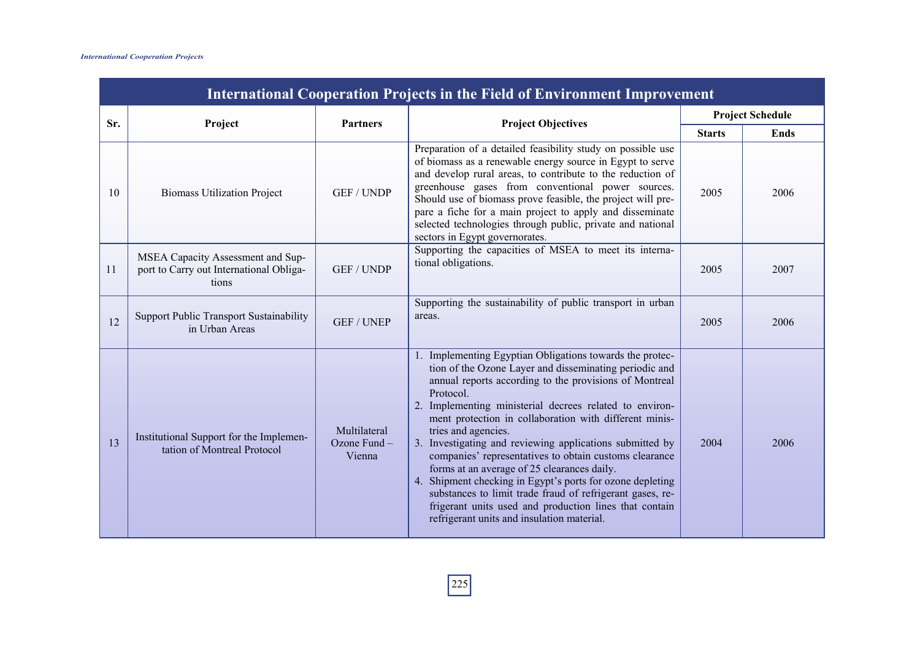|     | <b>International Cooperation Projects in the Field of Environment Improvement</b>     |                                        |                                                                                                                                                                                                                                                                                                                                                                                                                                                                                                                                                                                                                                                                                                                                              |               |                         |  |  |
|-----|---------------------------------------------------------------------------------------|----------------------------------------|----------------------------------------------------------------------------------------------------------------------------------------------------------------------------------------------------------------------------------------------------------------------------------------------------------------------------------------------------------------------------------------------------------------------------------------------------------------------------------------------------------------------------------------------------------------------------------------------------------------------------------------------------------------------------------------------------------------------------------------------|---------------|-------------------------|--|--|
| Sr. | Project                                                                               | <b>Partners</b>                        | <b>Project Objectives</b>                                                                                                                                                                                                                                                                                                                                                                                                                                                                                                                                                                                                                                                                                                                    |               | <b>Project Schedule</b> |  |  |
|     |                                                                                       |                                        |                                                                                                                                                                                                                                                                                                                                                                                                                                                                                                                                                                                                                                                                                                                                              | <b>Starts</b> | <b>Ends</b>             |  |  |
| 10  | <b>Biomass Utilization Project</b>                                                    | <b>GEF / UNDP</b>                      | Preparation of a detailed feasibility study on possible use<br>of biomass as a renewable energy source in Egypt to serve<br>and develop rural areas, to contribute to the reduction of<br>greenhouse gases from conventional power sources.<br>Should use of biomass prove feasible, the project will pre-<br>pare a fiche for a main project to apply and disseminate<br>selected technologies through public, private and national<br>sectors in Egypt governorates.                                                                                                                                                                                                                                                                       | 2005          | 2006                    |  |  |
| 11  | MSEA Capacity Assessment and Sup-<br>port to Carry out International Obliga-<br>tions | <b>GEF / UNDP</b>                      | Supporting the capacities of MSEA to meet its interna-<br>tional obligations.                                                                                                                                                                                                                                                                                                                                                                                                                                                                                                                                                                                                                                                                | 2005          | 2007                    |  |  |
| 12  | <b>Support Public Transport Sustainability</b><br>in Urban Areas                      | <b>GEF / UNEP</b>                      | Supporting the sustainability of public transport in urban<br>areas.                                                                                                                                                                                                                                                                                                                                                                                                                                                                                                                                                                                                                                                                         | 2005          | 2006                    |  |  |
| 13  | Institutional Support for the Implemen-<br>tation of Montreal Protocol                | Multilateral<br>Ozone Fund -<br>Vienna | 1. Implementing Egyptian Obligations towards the protec-<br>tion of the Ozone Layer and disseminating periodic and<br>annual reports according to the provisions of Montreal<br>Protocol.<br>2. Implementing ministerial decrees related to environ-<br>ment protection in collaboration with different minis-<br>tries and agencies.<br>3. Investigating and reviewing applications submitted by<br>companies' representatives to obtain customs clearance<br>forms at an average of 25 clearances daily.<br>4. Shipment checking in Egypt's ports for ozone depleting<br>substances to limit trade fraud of refrigerant gases, re-<br>frigerant units used and production lines that contain<br>refrigerant units and insulation material. | 2004          | 2006                    |  |  |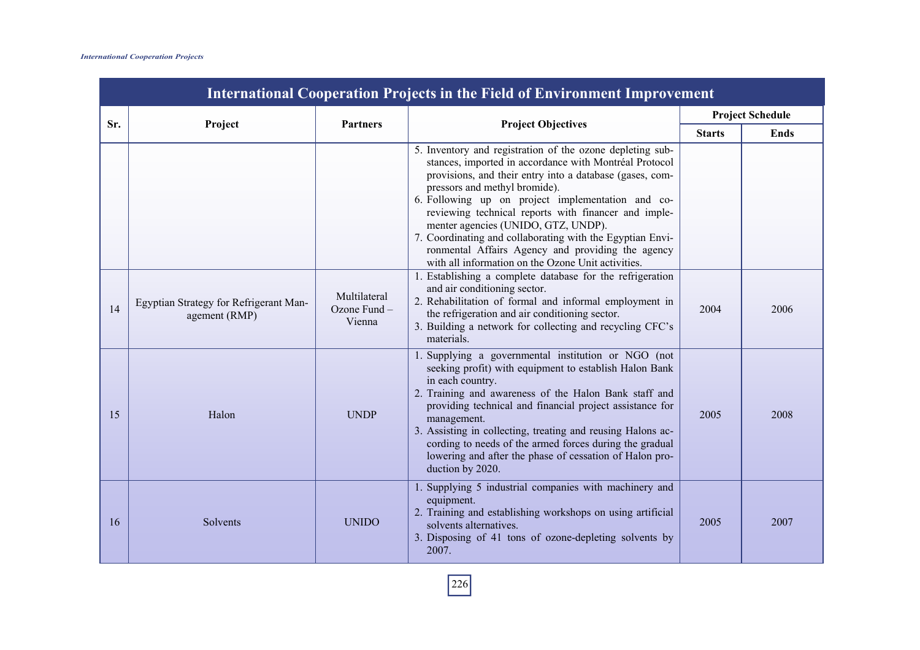|     |                                                         |                                          |                                                                                                                                                                                                                                                                                                                                                                                                                                                                                                                                              |               | <b>Project Schedule</b> |
|-----|---------------------------------------------------------|------------------------------------------|----------------------------------------------------------------------------------------------------------------------------------------------------------------------------------------------------------------------------------------------------------------------------------------------------------------------------------------------------------------------------------------------------------------------------------------------------------------------------------------------------------------------------------------------|---------------|-------------------------|
| Sr. | Project                                                 | <b>Partners</b>                          | <b>Project Objectives</b>                                                                                                                                                                                                                                                                                                                                                                                                                                                                                                                    | <b>Starts</b> | Ends                    |
|     |                                                         |                                          | 5. Inventory and registration of the ozone depleting sub-<br>stances, imported in accordance with Montréal Protocol<br>provisions, and their entry into a database (gases, com-<br>pressors and methyl bromide).<br>6. Following up on project implementation and co-<br>reviewing technical reports with financer and imple-<br>menter agencies (UNIDO, GTZ, UNDP).<br>7. Coordinating and collaborating with the Egyptian Envi-<br>ronmental Affairs Agency and providing the agency<br>with all information on the Ozone Unit activities. |               |                         |
| 14  | Egyptian Strategy for Refrigerant Man-<br>agement (RMP) | Multilateral<br>Ozone Fund $-$<br>Vienna | 1. Establishing a complete database for the refrigeration<br>and air conditioning sector.<br>2. Rehabilitation of formal and informal employment in<br>the refrigeration and air conditioning sector.<br>3. Building a network for collecting and recycling CFC's<br>materials.                                                                                                                                                                                                                                                              | 2004          | 2006                    |
| 15  | Halon                                                   | <b>UNDP</b>                              | 1. Supplying a governmental institution or NGO (not<br>seeking profit) with equipment to establish Halon Bank<br>in each country.<br>2. Training and awareness of the Halon Bank staff and<br>providing technical and financial project assistance for<br>management.<br>3. Assisting in collecting, treating and reusing Halons ac-<br>cording to needs of the armed forces during the gradual<br>lowering and after the phase of cessation of Halon pro-<br>duction by 2020.                                                               | 2005          | 2008                    |
| 16  | <b>Solvents</b>                                         | <b>UNIDO</b>                             | 1. Supplying 5 industrial companies with machinery and<br>equipment.<br>2. Training and establishing workshops on using artificial<br>solvents alternatives.<br>3. Disposing of 41 tons of ozone-depleting solvents by<br>2007.                                                                                                                                                                                                                                                                                                              | 2005          | 2007                    |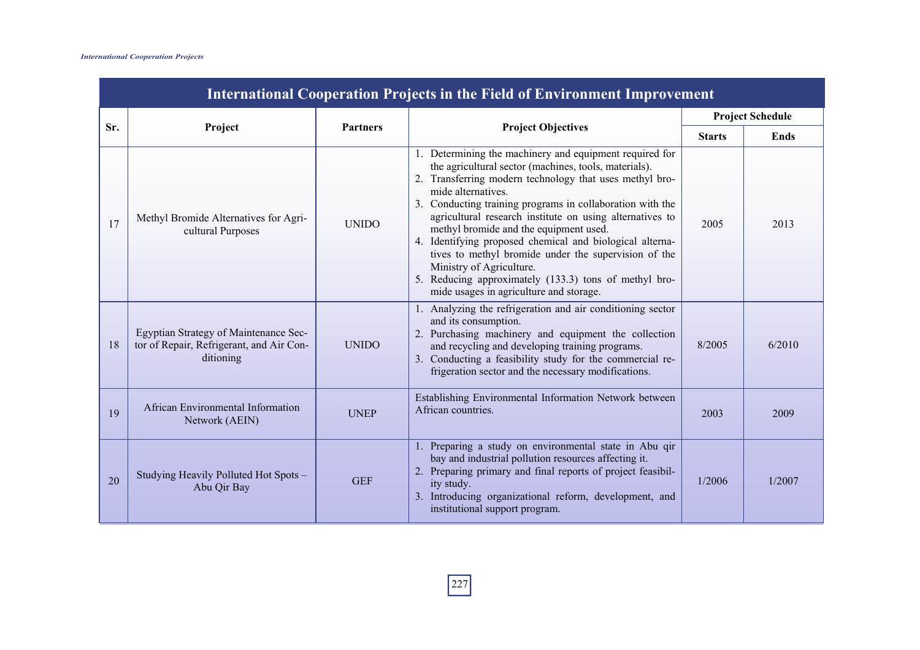|     | <b>International Cooperation Projects in the Field of Environment Improvement</b>              |                 |                                                                                                                                                                                                                                                                                                                                                                                                                                                                                                                                                                                                                          |               |                         |  |  |
|-----|------------------------------------------------------------------------------------------------|-----------------|--------------------------------------------------------------------------------------------------------------------------------------------------------------------------------------------------------------------------------------------------------------------------------------------------------------------------------------------------------------------------------------------------------------------------------------------------------------------------------------------------------------------------------------------------------------------------------------------------------------------------|---------------|-------------------------|--|--|
| Sr. |                                                                                                |                 |                                                                                                                                                                                                                                                                                                                                                                                                                                                                                                                                                                                                                          |               | <b>Project Schedule</b> |  |  |
|     | Project                                                                                        | <b>Partners</b> | <b>Project Objectives</b>                                                                                                                                                                                                                                                                                                                                                                                                                                                                                                                                                                                                | <b>Starts</b> | Ends                    |  |  |
| 17  | Methyl Bromide Alternatives for Agri-<br>cultural Purposes                                     | <b>UNIDO</b>    | 1. Determining the machinery and equipment required for<br>the agricultural sector (machines, tools, materials).<br>2. Transferring modern technology that uses methyl bro-<br>mide alternatives.<br>3. Conducting training programs in collaboration with the<br>agricultural research institute on using alternatives to<br>methyl bromide and the equipment used.<br>4. Identifying proposed chemical and biological alterna-<br>tives to methyl bromide under the supervision of the<br>Ministry of Agriculture.<br>5. Reducing approximately (133.3) tons of methyl bro-<br>mide usages in agriculture and storage. | 2005          | 2013                    |  |  |
| 18  | Egyptian Strategy of Maintenance Sec-<br>tor of Repair, Refrigerant, and Air Con-<br>ditioning | <b>UNIDO</b>    | 1. Analyzing the refrigeration and air conditioning sector<br>and its consumption.<br>2. Purchasing machinery and equipment the collection<br>and recycling and developing training programs.<br>3. Conducting a feasibility study for the commercial re-<br>frigeration sector and the necessary modifications.                                                                                                                                                                                                                                                                                                         | 8/2005        | 6/2010                  |  |  |
| 19  | African Environmental Information<br>Network (AEIN)                                            | <b>UNEP</b>     | Establishing Environmental Information Network between<br>African countries.                                                                                                                                                                                                                                                                                                                                                                                                                                                                                                                                             | 2003          | 2009                    |  |  |
| 20  | Studying Heavily Polluted Hot Spots -<br>Abu Qir Bay                                           | <b>GEF</b>      | 1. Preparing a study on environmental state in Abu qir<br>bay and industrial pollution resources affecting it.<br>2. Preparing primary and final reports of project feasibil-<br>ity study.<br>3. Introducing organizational reform, development, and<br>institutional support program.                                                                                                                                                                                                                                                                                                                                  | 1/2006        | 1/2007                  |  |  |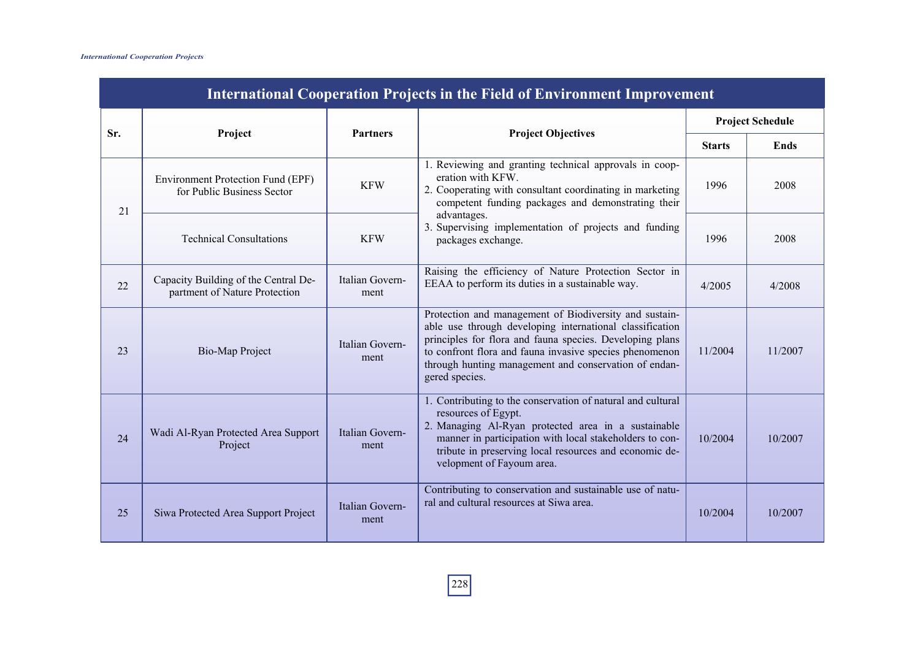| <b>International Cooperation Projects in the Field of Environment Improvement</b> |                                                                       |                         |                                                                                                                                                                                                                                                                                                                      |                                                                                                                                                         |         |  |  |
|-----------------------------------------------------------------------------------|-----------------------------------------------------------------------|-------------------------|----------------------------------------------------------------------------------------------------------------------------------------------------------------------------------------------------------------------------------------------------------------------------------------------------------------------|---------------------------------------------------------------------------------------------------------------------------------------------------------|---------|--|--|
| Sr.                                                                               | Project                                                               | <b>Partners</b>         | <b>Project Objectives</b>                                                                                                                                                                                                                                                                                            | <b>Project Schedule</b><br><b>Ends</b><br><b>Starts</b><br>1996<br>2008<br>1996<br>2008<br>4/2005<br>4/2008<br>11/2004<br>11/2007<br>10/2004<br>10/2007 |         |  |  |
|                                                                                   |                                                                       |                         |                                                                                                                                                                                                                                                                                                                      |                                                                                                                                                         |         |  |  |
| 21                                                                                | Environment Protection Fund (EPF)<br>for Public Business Sector       | <b>KFW</b>              | 1. Reviewing and granting technical approvals in coop-<br>eration with KFW.<br>2. Cooperating with consultant coordinating in marketing<br>competent funding packages and demonstrating their                                                                                                                        |                                                                                                                                                         |         |  |  |
|                                                                                   | <b>Technical Consultations</b>                                        | <b>KFW</b>              | advantages.<br>3. Supervising implementation of projects and funding<br>packages exchange.                                                                                                                                                                                                                           |                                                                                                                                                         |         |  |  |
| 22                                                                                | Capacity Building of the Central De-<br>partment of Nature Protection | Italian Govern-<br>ment | Raising the efficiency of Nature Protection Sector in<br>EEAA to perform its duties in a sustainable way.                                                                                                                                                                                                            |                                                                                                                                                         |         |  |  |
| 23                                                                                | <b>Bio-Map Project</b>                                                | Italian Govern-<br>ment | Protection and management of Biodiversity and sustain-<br>able use through developing international classification<br>principles for flora and fauna species. Developing plans<br>to confront flora and fauna invasive species phenomenon<br>through hunting management and conservation of endan-<br>gered species. |                                                                                                                                                         |         |  |  |
| 24                                                                                | Wadi Al-Ryan Protected Area Support<br>Project                        | Italian Govern-<br>ment | 1. Contributing to the conservation of natural and cultural<br>resources of Egypt.<br>2. Managing Al-Ryan protected area in a sustainable<br>manner in participation with local stakeholders to con-<br>tribute in preserving local resources and economic de-<br>velopment of Fayoum area.                          |                                                                                                                                                         |         |  |  |
| 25                                                                                | Siwa Protected Area Support Project                                   | Italian Govern-<br>ment | Contributing to conservation and sustainable use of natu-<br>ral and cultural resources at Siwa area.                                                                                                                                                                                                                | 10/2004                                                                                                                                                 | 10/2007 |  |  |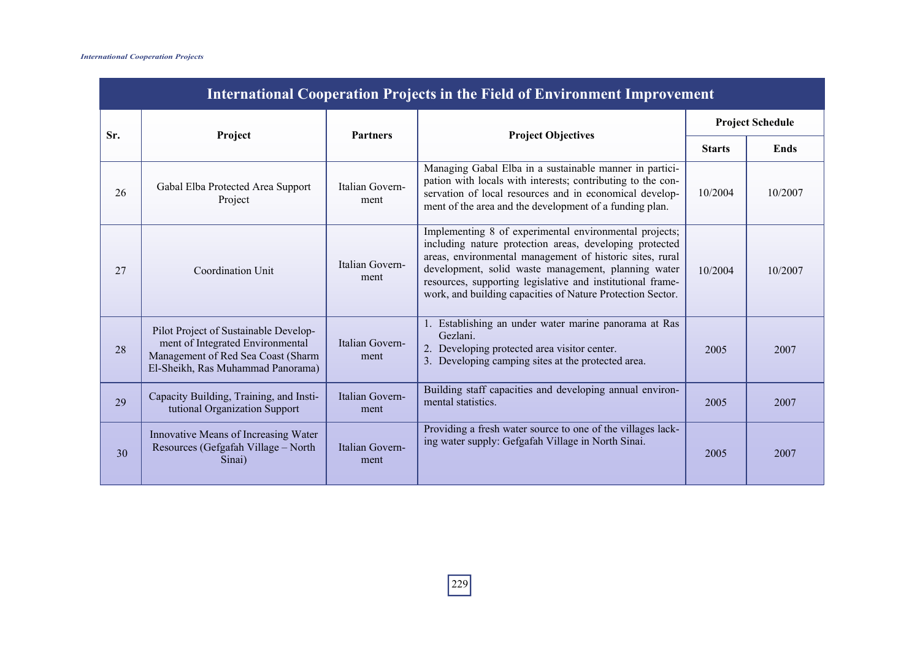| <b>International Cooperation Projects in the Field of Environment Improvement</b> |                                                                                                                                                      |                         |                                                                                                                                                                                                                                                                                                                                                                  |         |                         |  |  |
|-----------------------------------------------------------------------------------|------------------------------------------------------------------------------------------------------------------------------------------------------|-------------------------|------------------------------------------------------------------------------------------------------------------------------------------------------------------------------------------------------------------------------------------------------------------------------------------------------------------------------------------------------------------|---------|-------------------------|--|--|
|                                                                                   |                                                                                                                                                      | <b>Partners</b>         |                                                                                                                                                                                                                                                                                                                                                                  |         | <b>Project Schedule</b> |  |  |
| Sr.<br>Project                                                                    | <b>Project Objectives</b>                                                                                                                            | <b>Starts</b>           | <b>Ends</b>                                                                                                                                                                                                                                                                                                                                                      |         |                         |  |  |
| 26                                                                                | Gabal Elba Protected Area Support<br>Project                                                                                                         | Italian Govern-<br>ment | Managing Gabal Elba in a sustainable manner in partici-<br>pation with locals with interests; contributing to the con-<br>servation of local resources and in economical develop-<br>ment of the area and the development of a funding plan.                                                                                                                     | 10/2004 | 10/2007                 |  |  |
| 27                                                                                | Coordination Unit                                                                                                                                    | Italian Govern-<br>ment | Implementing 8 of experimental environmental projects;<br>including nature protection areas, developing protected<br>areas, environmental management of historic sites, rural<br>development, solid waste management, planning water<br>resources, supporting legislative and institutional frame-<br>work, and building capacities of Nature Protection Sector. | 10/2004 | 10/2007                 |  |  |
| 28                                                                                | Pilot Project of Sustainable Develop-<br>ment of Integrated Environmental<br>Management of Red Sea Coast (Sharm<br>El-Sheikh, Ras Muhammad Panorama) | Italian Govern-<br>ment | 1. Establishing an under water marine panorama at Ras<br>Gezlani.<br>2. Developing protected area visitor center.<br>3. Developing camping sites at the protected area.                                                                                                                                                                                          | 2005    | 2007                    |  |  |
| 29                                                                                | Capacity Building, Training, and Insti-<br>tutional Organization Support                                                                             | Italian Govern-<br>ment | Building staff capacities and developing annual environ-<br>mental statistics.                                                                                                                                                                                                                                                                                   | 2005    | 2007                    |  |  |
| 30                                                                                | Innovative Means of Increasing Water<br>Resources (Gefgafah Village – North<br>Sinai)                                                                | Italian Govern-<br>ment | Providing a fresh water source to one of the villages lack-<br>ing water supply: Gefgafah Village in North Sinai.                                                                                                                                                                                                                                                | 2005    | 2007                    |  |  |

229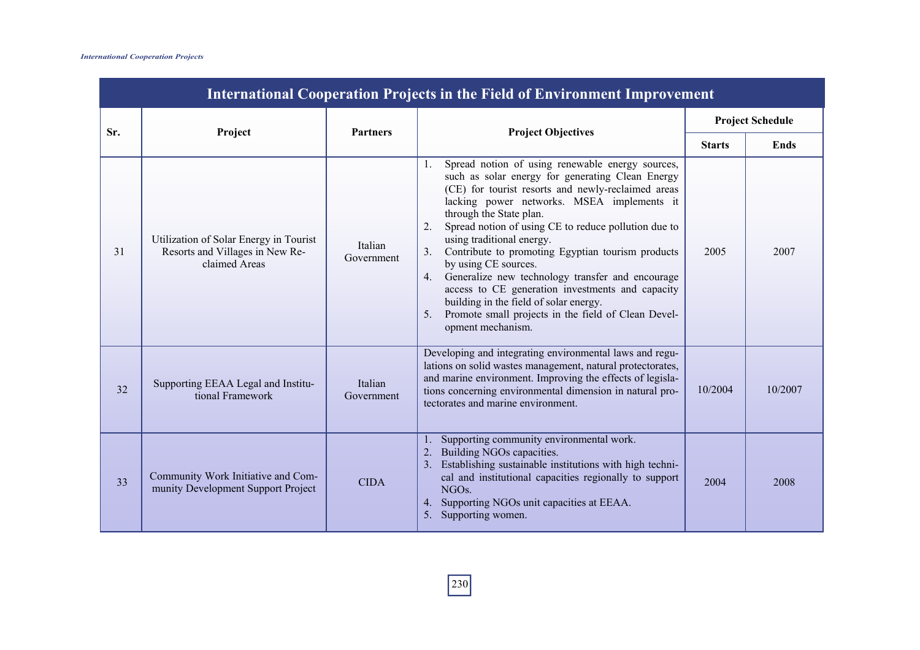|     | <b>International Cooperation Projects in the Field of Environment Improvement</b>          |                       |                                                                                                                                                                                                                                                                                                                                                                                                                                                                                                                                                                                                                                                                   |               |                                        |  |  |  |
|-----|--------------------------------------------------------------------------------------------|-----------------------|-------------------------------------------------------------------------------------------------------------------------------------------------------------------------------------------------------------------------------------------------------------------------------------------------------------------------------------------------------------------------------------------------------------------------------------------------------------------------------------------------------------------------------------------------------------------------------------------------------------------------------------------------------------------|---------------|----------------------------------------|--|--|--|
| Sr. | Project                                                                                    | <b>Partners</b>       | <b>Project Objectives</b>                                                                                                                                                                                                                                                                                                                                                                                                                                                                                                                                                                                                                                         |               | <b>Project Schedule</b>                |  |  |  |
|     |                                                                                            |                       |                                                                                                                                                                                                                                                                                                                                                                                                                                                                                                                                                                                                                                                                   | <b>Starts</b> | <b>Ends</b><br>2007<br>10/2007<br>2008 |  |  |  |
| 31  | Utilization of Solar Energy in Tourist<br>Resorts and Villages in New Re-<br>claimed Areas | Italian<br>Government | Spread notion of using renewable energy sources,<br>1.<br>such as solar energy for generating Clean Energy<br>(CE) for tourist resorts and newly-reclaimed areas<br>lacking power networks. MSEA implements it<br>through the State plan.<br>Spread notion of using CE to reduce pollution due to<br>2.<br>using traditional energy.<br>Contribute to promoting Egyptian tourism products<br>3.<br>by using CE sources.<br>Generalize new technology transfer and encourage<br>4.<br>access to CE generation investments and capacity<br>building in the field of solar energy.<br>Promote small projects in the field of Clean Devel-<br>5.<br>opment mechanism. | 2005          |                                        |  |  |  |
| 32  | Supporting EEAA Legal and Institu-<br>tional Framework                                     | Italian<br>Government | Developing and integrating environmental laws and regu-<br>lations on solid wastes management, natural protectorates,<br>and marine environment. Improving the effects of legisla-<br>tions concerning environmental dimension in natural pro-<br>tectorates and marine environment.                                                                                                                                                                                                                                                                                                                                                                              | 10/2004       |                                        |  |  |  |
| 33  | Community Work Initiative and Com-<br>munity Development Support Project                   | <b>CIDA</b>           | 1. Supporting community environmental work.<br>2. Building NGOs capacities.<br>3. Establishing sustainable institutions with high techni-<br>cal and institutional capacities regionally to support<br>NGO <sub>s.</sub><br>4. Supporting NGOs unit capacities at EEAA.<br>5. Supporting women.                                                                                                                                                                                                                                                                                                                                                                   | 2004          |                                        |  |  |  |